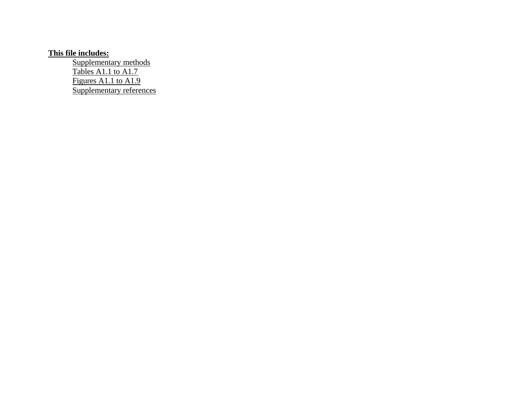# **This file includes:**

Supplementary methods Tables A1.1 to A1.7 Figures A1.1 to A1.9 Supplementary references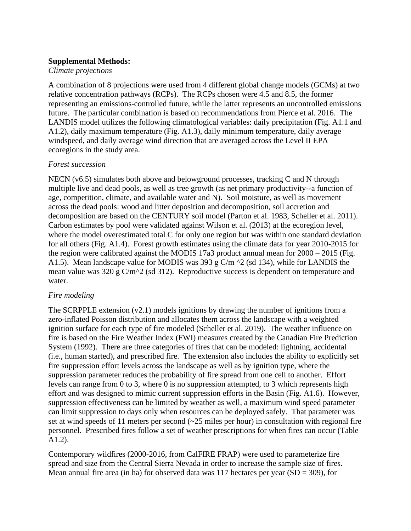### **Supplemental Methods:**

*Climate projections*

A combination of 8 projections were used from 4 different global change models (GCMs) at two relative concentration pathways (RCPs). The RCPs chosen were 4.5 and 8.5, the former representing an emissions-controlled future, while the latter represents an uncontrolled emissions future. The particular combination is based on recommendations from Pierce et al. 2016. The LANDIS model utilizes the following climatological variables: daily precipitation (Fig. A1.1 and A1.2), daily maximum temperature (Fig. A1.3), daily minimum temperature, daily average windspeed, and daily average wind direction that are averaged across the Level II EPA ecoregions in the study area.

## *Forest succession*

NECN (v6.5) simulates both above and belowground processes, tracking C and N through multiple live and dead pools, as well as tree growth (as net primary productivity--a function of age, competition, climate, and available water and N). Soil moisture, as well as movement across the dead pools: wood and litter deposition and decomposition, soil accretion and decomposition are based on the CENTURY soil model (Parton et al. 1983, Scheller et al. 2011). Carbon estimates by pool were validated against Wilson et al. (2013) at the ecoregion level, where the model overestimated total C for only one region but was within one standard deviation for all others (Fig. A1.4). Forest growth estimates using the climate data for year 2010-2015 for the region were calibrated against the MODIS 17a3 product annual mean for 2000 – 2015 (Fig. A1.5). Mean landscape value for MODIS was 393 g  $C/m \sim 2$  (sd 134), while for LANDIS the mean value was 320 g C/m^2 (sd 312). Reproductive success is dependent on temperature and water.

## *Fire modeling*

The SCRPPLE extension  $(v2.1)$  models ignitions by drawing the number of ignitions from a zero-inflated Poisson distribution and allocates them across the landscape with a weighted ignition surface for each type of fire modeled (Scheller et al. 2019). The weather influence on fire is based on the Fire Weather Index (FWI) measures created by the Canadian Fire Prediction System (1992). There are three categories of fires that can be modeled: lightning, accidental (i.e., human started), and prescribed fire. The extension also includes the ability to explicitly set fire suppression effort levels across the landscape as well as by ignition type, where the suppression parameter reduces the probability of fire spread from one cell to another. Effort levels can range from 0 to 3, where 0 is no suppression attempted, to 3 which represents high effort and was designed to mimic current suppression efforts in the Basin (Fig. A1.6). However, suppression effectiveness can be limited by weather as well, a maximum wind speed parameter can limit suppression to days only when resources can be deployed safely. That parameter was set at wind speeds of 11 meters per second (~25 miles per hour) in consultation with regional fire personnel. Prescribed fires follow a set of weather prescriptions for when fires can occur (Table A1.2).

Contemporary wildfires (2000-2016, from CalFIRE FRAP) were used to parameterize fire spread and size from the Central Sierra Nevada in order to increase the sample size of fires. Mean annual fire area (in ha) for observed data was 117 hectares per year  $(SD = 309)$ , for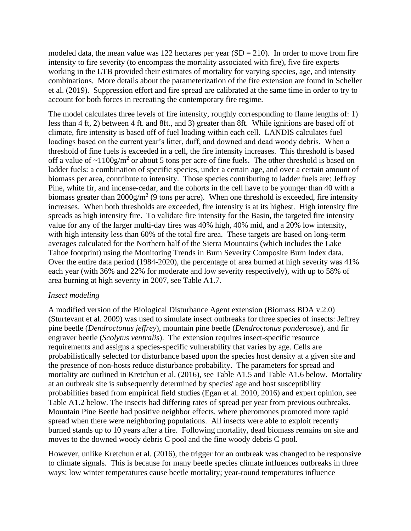modeled data, the mean value was 122 hectares per year  $(SD = 210)$ . In order to move from fire intensity to fire severity (to encompass the mortality associated with fire), five fire experts working in the LTB provided their estimates of mortality for varying species, age, and intensity combinations. More details about the parameterization of the fire extension are found in Scheller et al. (2019). Suppression effort and fire spread are calibrated at the same time in order to try to account for both forces in recreating the contemporary fire regime.

The model calculates three levels of fire intensity, roughly corresponding to flame lengths of: 1) less than 4 ft, 2) between 4 ft. and 8ft., and 3) greater than 8ft. While ignitions are based off of climate, fire intensity is based off of fuel loading within each cell. LANDIS calculates fuel loadings based on the current year's litter, duff, and downed and dead woody debris. When a threshold of fine fuels is exceeded in a cell, the fire intensity increases. This threshold is based off a value of  $\sim$ 1100g/m<sup>2</sup> or about 5 tons per acre of fine fuels. The other threshold is based on ladder fuels: a combination of specific species, under a certain age, and over a certain amount of biomass per area, contribute to intensity. Those species contributing to ladder fuels are: Jeffrey Pine, white fir, and incense-cedar, and the cohorts in the cell have to be younger than 40 with a biomass greater than  $2000$ g/m<sup>2</sup> (9 tons per acre). When one threshold is exceeded, fire intensity increases. When both thresholds are exceeded, fire intensity is at its highest. High intensity fire spreads as high intensity fire. To validate fire intensity for the Basin, the targeted fire intensity value for any of the larger multi-day fires was 40% high, 40% mid, and a 20% low intensity, with high intensity less than 60% of the total fire area. These targets are based on long-term averages calculated for the Northern half of the Sierra Mountains (which includes the Lake Tahoe footprint) using the Monitoring Trends in Burn Severity Composite Burn Index data. Over the entire data period (1984-2020), the percentage of area burned at high severity was 41% each year (with 36% and 22% for moderate and low severity respectively), with up to 58% of area burning at high severity in 2007, see Table A1.7.

#### *Insect modeling*

A modified version of the Biological Disturbance Agent extension (Biomass BDA v.2.0) (Sturtevant et al. 2009) was used to simulate insect outbreaks for three species of insects: Jeffrey pine beetle (*Dendroctonus jeffrey*), mountain pine beetle (*Dendroctonus ponderosae*), and fir engraver beetle (*Scolytus ventralis*). The extension requires insect-specific resource requirements and assigns a species-specific vulnerability that varies by age. Cells are probabilistically selected for disturbance based upon the species host density at a given site and the presence of non-hosts reduce disturbance probability. The parameters for spread and mortality are outlined in Kretchun et al. (2016), see Table A1.5 and Table A1.6 below. Mortality at an outbreak site is subsequently determined by species' age and host susceptibility probabilities based from empirical field studies (Egan et al. 2010, 2016) and expert opinion, see Table A1.2 below. The insects had differing rates of spread per year from previous outbreaks. Mountain Pine Beetle had positive neighbor effects, where pheromones promoted more rapid spread when there were neighboring populations. All insects were able to exploit recently burned stands up to 10 years after a fire. Following mortality, dead biomass remains on site and moves to the downed woody debris C pool and the fine woody debris C pool.

However, unlike Kretchun et al. (2016), the trigger for an outbreak was changed to be responsive to climate signals. This is because for many beetle species climate influences outbreaks in three ways: low winter temperatures cause beetle mortality; year-round temperatures influence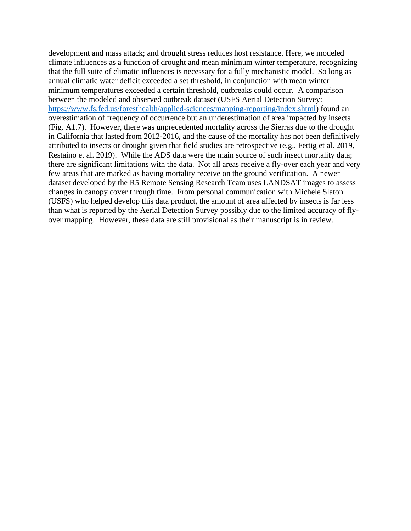development and mass attack; and drought stress reduces host resistance. Here, we modeled climate influences as a function of drought and mean minimum winter temperature, recognizing that the full suite of climatic influences is necessary for a fully mechanistic model. So long as annual climatic water deficit exceeded a set threshold, in conjunction with mean winter minimum temperatures exceeded a certain threshold, outbreaks could occur. A comparison between the modeled and observed outbreak dataset (USFS Aerial Detection Survey: [https://www.fs.fed.us/foresthealth/applied-sciences/mapping-reporting/index.shtml\)](https://www.fs.fed.us/foresthealth/applied-sciences/mapping-reporting/index.shtml) found an overestimation of frequency of occurrence but an underestimation of area impacted by insects (Fig. A1.7). However, there was unprecedented mortality across the Sierras due to the drought in California that lasted from 2012-2016, and the cause of the mortality has not been definitively attributed to insects or drought given that field studies are retrospective (e.g., Fettig et al. 2019, Restaino et al. 2019). While the ADS data were the main source of such insect mortality data; there are significant limitations with the data. Not all areas receive a fly-over each year and very few areas that are marked as having mortality receive on the ground verification. A newer dataset developed by the R5 Remote Sensing Research Team uses LANDSAT images to assess changes in canopy cover through time. From personal communication with Michele Slaton (USFS) who helped develop this data product, the amount of area affected by insects is far less than what is reported by the Aerial Detection Survey possibly due to the limited accuracy of flyover mapping. However, these data are still provisional as their manuscript is in review.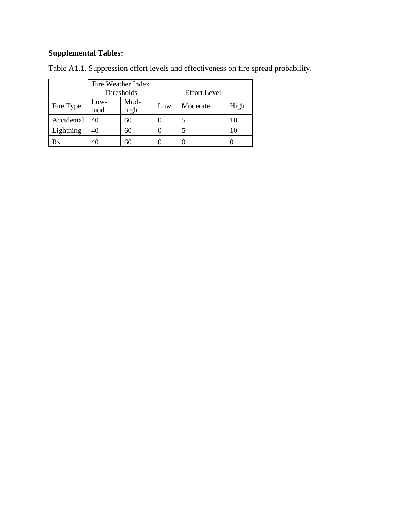# **Supplemental Tables:**

|            |                             | Fire Weather Index |                     |          |      |  |  |  |  |
|------------|-----------------------------|--------------------|---------------------|----------|------|--|--|--|--|
|            |                             | Thresholds         | <b>Effort Level</b> |          |      |  |  |  |  |
| Fire Type  | Mod-<br>Low-<br>mod<br>high |                    | Low                 | Moderate | High |  |  |  |  |
| Accidental | 40<br>60                    |                    |                     |          | 10   |  |  |  |  |
| Lightning  | 40                          | 60                 |                     |          | 10   |  |  |  |  |
| Rx         | 60                          |                    |                     |          |      |  |  |  |  |

Table A1.1. Suppression effort levels and effectiveness on fire spread probability.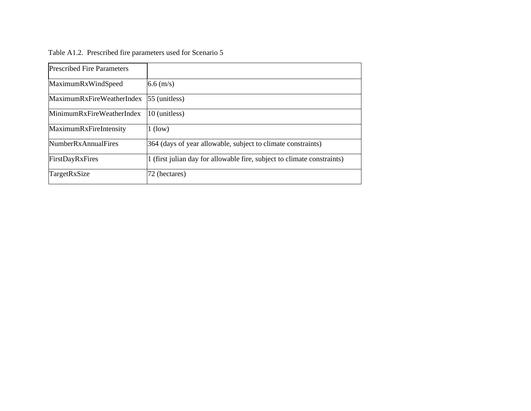| <b>Prescribed Fire Parameters</b> |                                                                         |
|-----------------------------------|-------------------------------------------------------------------------|
| MaximumRxWindSpeed                | $6.6 \, \text{(m/s)}$                                                   |
| MaximumRxFireWeatherIndex         | $55$ (unitless)                                                         |
| MinimumRxFireWeatherIndex         | 10 (unitless)                                                           |
| MaximumRxFireIntensity            | $1$ (low)                                                               |
| <b>NumberRxAnnualFires</b>        | 364 (days of year allowable, subject to climate constraints)            |
| FirstDayRxFires                   | 1 (first julian day for allowable fire, subject to climate constraints) |
| TargetRxSize                      | 72 (hectares)                                                           |

Table A1.2. Prescribed fire parameters used for Scenario 5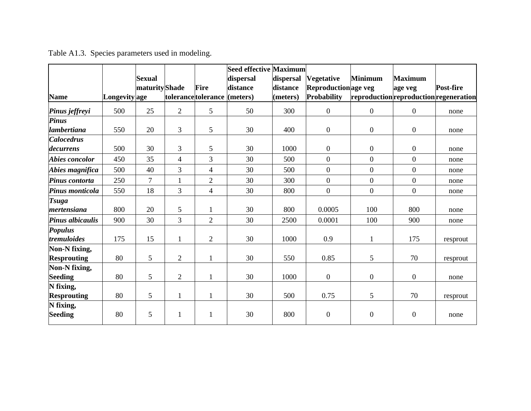|                         |               |                |                |                              | <b>Seed effective Maximum</b> |           |                     |                  |                                        |           |
|-------------------------|---------------|----------------|----------------|------------------------------|-------------------------------|-----------|---------------------|------------------|----------------------------------------|-----------|
|                         |               | <b>Sexual</b>  |                |                              | dispersal                     | dispersal | <b>Vegetative</b>   | <b>Minimum</b>   | <b>Maximum</b>                         |           |
|                         |               | maturity Shade |                | <b>Fire</b>                  | distance                      | distance  | Reproductionage veg |                  | age veg                                | Post-fire |
| <b>Name</b>             | Longevity age |                |                | tolerance tolerance (meters) |                               | (meters)  | Probability         |                  | reproduction reproduction regeneration |           |
| Pinus jeffreyi          | 500           | 25             | $\overline{2}$ | 5                            | 50                            | 300       | $\mathbf{0}$        | $\boldsymbol{0}$ | $\mathbf{0}$                           | none      |
| <b>Pinus</b>            |               |                |                |                              |                               |           |                     |                  |                                        |           |
| lambertiana             | 550           | 20             | 3              | 5                            | 30                            | 400       | $\mathbf{0}$        | $\boldsymbol{0}$ | $\mathbf{0}$                           | none      |
| <b>Calocedrus</b>       |               |                |                |                              |                               |           |                     |                  |                                        |           |
| decurrens               | 500           | 30             | 3              | 5                            | 30                            | 1000      | $\overline{0}$      | $\boldsymbol{0}$ | $\boldsymbol{0}$                       | none      |
| Abies concolor          | 450           | 35             | $\overline{4}$ | 3                            | 30                            | 500       | $\overline{0}$      | $\boldsymbol{0}$ | $\mathbf{0}$                           | none      |
| Abies magnifica         | 500           | 40             | 3              | $\overline{4}$               | 30                            | 500       | $\overline{0}$      | $\boldsymbol{0}$ | $\boldsymbol{0}$                       | none      |
| Pinus contorta          | 250           | $\overline{7}$ | 1              | $\overline{2}$               | 30                            | 300       | $\overline{0}$      | $\boldsymbol{0}$ | $\mathbf{0}$                           | none      |
| Pinus monticola         | 550           | 18             | 3              | $\overline{4}$               | 30                            | 800       | $\overline{0}$      | $\mathbf{0}$     | $\mathbf{0}$                           | none      |
| <b>Tsuga</b>            |               |                |                |                              |                               |           |                     |                  |                                        |           |
| mertensiana             | 800           | 20             | 5              | $\mathbf{1}$                 | 30                            | 800       | 0.0005              | 100              | 800                                    | none      |
| <b>Pinus albicaulis</b> | 900           | 30             | $\overline{3}$ | $\overline{2}$               | 30                            | 2500      | 0.0001              | 100              | 900                                    | none      |
| <b>Populus</b>          |               |                |                |                              |                               |           |                     |                  |                                        |           |
| tremuloides             | 175           | 15             | 1              | $\sqrt{2}$                   | 30                            | 1000      | 0.9                 | 1                | 175                                    | resprout  |
| Non-N fixing,           |               |                |                |                              |                               |           |                     |                  |                                        |           |
| <b>Resprouting</b>      | 80            | 5              | $\overline{2}$ | $\mathbf{1}$                 | 30                            | 550       | 0.85                | 5                | 70                                     | resprout  |
| Non-N fixing,           |               |                |                |                              |                               |           |                     |                  |                                        |           |
| <b>Seeding</b>          | 80            | 5              | $\overline{2}$ | 1                            | 30                            | 1000      | $\boldsymbol{0}$    | $\boldsymbol{0}$ | $\boldsymbol{0}$                       | none      |
| N fixing,               |               |                |                |                              |                               |           |                     |                  |                                        |           |
| <b>Resprouting</b>      | 80            | 5              |                | 1                            | 30                            | 500       | 0.75                | 5                | 70                                     | resprout  |
| N fixing,               |               |                |                |                              |                               |           |                     |                  |                                        |           |
| <b>Seeding</b>          | 80            | 5              | 1              | $\mathbf{1}$                 | 30                            | 800       | $\boldsymbol{0}$    | $\boldsymbol{0}$ | $\overline{0}$                         | none      |

Table A1.3. Species parameters used in modeling.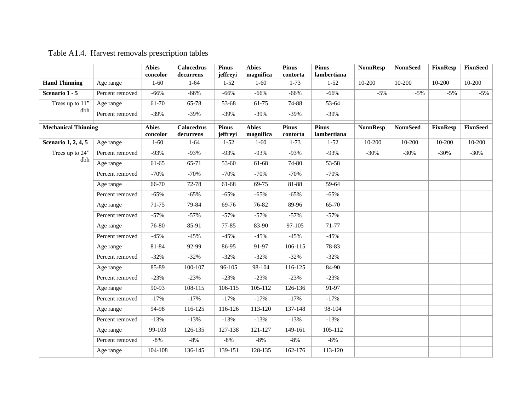# Table A1.4. Harvest removals prescription tables

|                            |                 | <b>Abies</b><br>concolor | <b>Calocedrus</b><br>decurrens | <b>Pinus</b><br>jeffreyi | <b>Abies</b><br>magnifica | <b>Pinus</b><br>contorta | <b>Pinus</b><br>lambertiana | <b>NonnResp</b> | <b>NonnSeed</b> | <b>FixnResp</b> | <b>FixnSeed</b> |
|----------------------------|-----------------|--------------------------|--------------------------------|--------------------------|---------------------------|--------------------------|-----------------------------|-----------------|-----------------|-----------------|-----------------|
| <b>Hand Thinning</b>       | Age range       | $1 - 60$                 | $1 - 64$                       | $1 - 52$                 | $1 - 60$                  | $1 - 73$                 | $1 - 52$                    | 10-200          | 10-200          | 10-200          | $10-200$        |
| Scenario 1 - 5             | Percent removed | $-66%$                   | $-66%$                         | $-66%$                   | $-66%$                    | $-66%$                   | $-66%$                      | $-5%$           | $-5%$           | $-5%$           | $-5%$           |
| Trees up to 11"            | Age range       | 61-70                    | 65-78                          | 53-68                    | 61-75                     | 74-88                    | 53-64                       |                 |                 |                 |                 |
| dbh                        | Percent removed | $-39%$                   | $-39%$                         | $-39%$                   | $-39%$                    | $-39%$                   | $-39%$                      |                 |                 |                 |                 |
| <b>Mechanical Thinning</b> |                 | <b>Abies</b><br>concolor | <b>Calocedrus</b><br>decurrens | <b>Pinus</b><br>jeffreyi | <b>Abies</b><br>magnifica | <b>Pinus</b><br>contorta | Pinus<br>lambertiana        | <b>NonnResp</b> | <b>NonnSeed</b> | <b>FixnResp</b> | <b>FixnSeed</b> |
| Scenario 1, 2, 4, 5        | Age range       | $1 - 60$                 | $1 - 64$                       | $1 - 52$                 | $1-60$                    | $1 - 73$                 | $1 - 52$                    | 10-200          | 10-200          | 10-200          | 10-200          |
| Trees up to 24"            | Percent removed | $-93%$                   | $-93%$                         | $-93%$                   | $-93%$                    | $-93%$                   | $-93%$                      | $-30%$          | $-30%$          | $-30%$          | $-30%$          |
| dbh                        | Age range       | 61-65                    | 65-71                          | 53-60                    | 61-68                     | 74-80                    | 53-58                       |                 |                 |                 |                 |
|                            | Percent removed | $-70%$                   | $-70%$                         | $-70%$                   | $-70%$                    | $-70%$                   | $-70%$                      |                 |                 |                 |                 |
|                            | Age range       | 66-70                    | 72-78                          | 61-68                    | 69-75                     | 81-88                    | 59-64                       |                 |                 |                 |                 |
|                            | Percent removed | $-65%$                   | $-65%$                         | $-65%$                   | $-65%$                    | $-65%$                   | $-65%$                      |                 |                 |                 |                 |
|                            | Age range       | 71-75                    | 79-84                          | 69-76                    | 76-82                     | 89-96                    | 65-70                       |                 |                 |                 |                 |
|                            | Percent removed | $-57%$                   | $-57%$                         | $-57%$                   | $-57%$                    | $-57%$                   | $-57%$                      |                 |                 |                 |                 |
|                            | Age range       | 76-80                    | 85-91                          | 77-85                    | 83-90                     | 97-105                   | 71-77                       |                 |                 |                 |                 |
|                            | Percent removed | $-45%$                   | $-45%$                         | $-45%$                   | $-45%$                    | $-45%$                   | $-45%$                      |                 |                 |                 |                 |
|                            | Age range       | 81-84                    | 92-99                          | 86-95                    | 91-97                     | 106-115                  | 78-83                       |                 |                 |                 |                 |
|                            | Percent removed | $-32%$                   | $-32%$                         | $-32%$                   | $-32%$                    | $-32%$                   | $-32%$                      |                 |                 |                 |                 |
|                            | Age range       | 85-89                    | 100-107                        | 96-105                   | 98-104                    | 116-125                  | 84-90                       |                 |                 |                 |                 |
|                            | Percent removed | $-23%$                   | $-23%$                         | $-23%$                   | $-23%$                    | $-23%$                   | $-23%$                      |                 |                 |                 |                 |
|                            | Age range       | 90-93                    | 108-115                        | 106-115                  | 105-112                   | 126-136                  | 91-97                       |                 |                 |                 |                 |
|                            | Percent removed | $-17%$                   | $-17%$                         | $-17%$                   | $-17%$                    | $-17%$                   | $-17%$                      |                 |                 |                 |                 |
|                            | Age range       | 94-98                    | 116-125                        | 116-126                  | 113-120                   | 137-148                  | 98-104                      |                 |                 |                 |                 |
|                            | Percent removed | $-13%$                   | $-13%$                         | $-13%$                   | $-13%$                    | $-13%$                   | $-13%$                      |                 |                 |                 |                 |
|                            | Age range       | 99-103                   | 126-135                        | 127-138                  | 121-127                   | 149-161                  | 105-112                     |                 |                 |                 |                 |
|                            | Percent removed | $-8%$                    | $-8\%$                         | $-8%$                    | $-8\%$                    | $-8\%$                   | $-8\%$                      |                 |                 |                 |                 |
|                            | Age range       | 104-108                  | 136-145                        | 139-151                  | 128-135                   | 162-176                  | 113-120                     |                 |                 |                 |                 |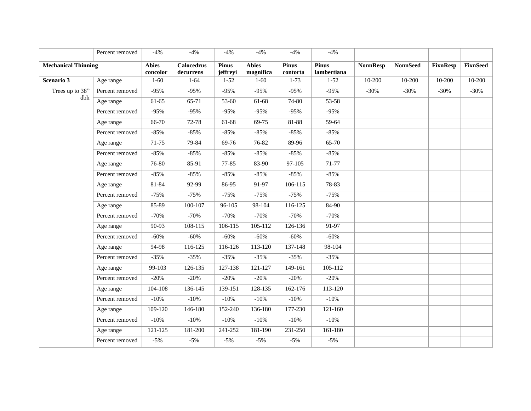|                            | Percent removed | $-4%$                    | $-4%$                          | $-4%$                    | $-4%$                     | $-4%$                    | $-4%$                       |                 |                 |                 |                 |
|----------------------------|-----------------|--------------------------|--------------------------------|--------------------------|---------------------------|--------------------------|-----------------------------|-----------------|-----------------|-----------------|-----------------|
| <b>Mechanical Thinning</b> |                 | <b>Abies</b><br>concolor | <b>Calocedrus</b><br>decurrens | <b>Pinus</b><br>jeffreyi | <b>Abies</b><br>magnifica | <b>Pinus</b><br>contorta | <b>Pinus</b><br>lambertiana | <b>NonnResp</b> | <b>NonnSeed</b> | <b>FixnResp</b> | <b>FixnSeed</b> |
| Scenario 3                 | Age range       | $1 - 60$                 | $1 - 64$                       | $1 - 52$                 | $1 - 60$                  | $1-73$                   | $1 - 52$                    | 10-200          | 10-200          | 10-200          | 10-200          |
| Trees up to 38"            | Percent removed | $-95%$                   | $-95%$                         | $-95%$                   | $-95%$                    | $-95%$                   | $-95%$                      | $-30%$          | $-30%$          | $-30%$          | $-30%$          |
| dbh                        | Age range       | 61-65                    | 65-71                          | 53-60                    | 61-68                     | 74-80                    | 53-58                       |                 |                 |                 |                 |
|                            | Percent removed | $-95%$                   | $-95%$                         | $-95%$                   | $-95%$                    | $-95%$                   | $-95%$                      |                 |                 |                 |                 |
|                            | Age range       | 66-70                    | 72-78                          | 61-68                    | 69-75                     | 81-88                    | 59-64                       |                 |                 |                 |                 |
|                            | Percent removed | $-85%$                   | $-85%$                         | $-85%$                   | $-85%$                    | $-85%$                   | $-85%$                      |                 |                 |                 |                 |
|                            | Age range       | $71 - 75$                | 79-84                          | 69-76                    | 76-82                     | 89-96                    | 65-70                       |                 |                 |                 |                 |
|                            | Percent removed | $-85%$                   | $-85%$                         | $-85%$                   | $-85%$                    | $-85%$                   | $-85%$                      |                 |                 |                 |                 |
|                            | Age range       | 76-80                    | 85-91                          | 77-85                    | 83-90                     | 97-105                   | 71-77                       |                 |                 |                 |                 |
|                            | Percent removed | $-85%$                   | $-85%$                         | $-85%$                   | $-85%$                    | $-85%$                   | $-85%$                      |                 |                 |                 |                 |
|                            | Age range       | 81-84                    | 92-99                          | 86-95                    | 91-97                     | 106-115                  | 78-83                       |                 |                 |                 |                 |
|                            | Percent removed | $-75%$                   | $-75%$                         | $-75%$                   | $-75%$                    | $-75%$                   | $-75%$                      |                 |                 |                 |                 |
|                            | Age range       | 85-89                    | 100-107                        | 96-105                   | 98-104                    | 116-125                  | 84-90                       |                 |                 |                 |                 |
|                            | Percent removed | $-70%$                   | $-70%$                         | $-70%$                   | $-70%$                    | $-70%$                   | $-70%$                      |                 |                 |                 |                 |
|                            | Age range       | 90-93                    | 108-115                        | 106-115                  | 105-112                   | 126-136                  | 91-97                       |                 |                 |                 |                 |
|                            | Percent removed | $-60%$                   | $-60%$                         | $-60%$                   | $-60%$                    | $-60%$                   | $-60%$                      |                 |                 |                 |                 |
|                            | Age range       | 94-98                    | 116-125                        | $116-126$                | 113-120                   | 137-148                  | 98-104                      |                 |                 |                 |                 |
|                            | Percent removed | $-35%$                   | $-35%$                         | $-35%$                   | $-35%$                    | $-35%$                   | $-35%$                      |                 |                 |                 |                 |
|                            | Age range       | 99-103                   | 126-135                        | 127-138                  | 121-127                   | 149-161                  | 105-112                     |                 |                 |                 |                 |
|                            | Percent removed | $-20%$                   | $-20%$                         | $-20%$                   | $-20%$                    | $-20%$                   | $-20%$                      |                 |                 |                 |                 |
|                            | Age range       | 104-108                  | 136-145                        | 139-151                  | 128-135                   | 162-176                  | 113-120                     |                 |                 |                 |                 |
|                            | Percent removed | $-10%$                   | $-10%$                         | $-10%$                   | $-10%$                    | $-10%$                   | $-10%$                      |                 |                 |                 |                 |
|                            | Age range       | 109-120                  | 146-180                        | 152-240                  | 136-180                   | 177-230                  | 121-160                     |                 |                 |                 |                 |
|                            | Percent removed | $-10%$                   | $-10%$                         | $-10%$                   | $-10%$                    | $-10%$                   | $-10%$                      |                 |                 |                 |                 |
|                            | Age range       | 121-125                  | 181-200                        | 241-252                  | 181-190                   | 231-250                  | 161-180                     |                 |                 |                 |                 |
|                            | Percent removed | $-5%$                    | $-5%$                          | $-5%$                    | $-5%$                     | $-5%$                    | $-5%$                       |                 |                 |                 |                 |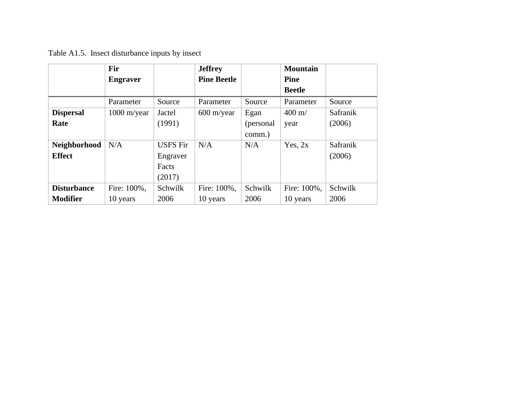Table A1.5. Insect disturbance inputs by insect

|                    | <b>Fir</b>      |                 | <b>Jeffrey</b>       |            | <b>Mountain</b> |          |
|--------------------|-----------------|-----------------|----------------------|------------|-----------------|----------|
|                    | <b>Engraver</b> |                 | <b>Pine Beetle</b>   |            | <b>Pine</b>     |          |
|                    |                 |                 |                      |            | <b>Beetle</b>   |          |
|                    | Parameter       | Source          | Parameter            | Source     | Parameter       | Source   |
| <b>Dispersal</b>   | $1000$ m/year   | Jactel          | $600 \text{ m/year}$ | Egan       | $400 \text{ m}$ | Safranik |
| Rate               |                 | (1991)          |                      | (personal) | year            | (2006)   |
|                    |                 |                 |                      | comm.)     |                 |          |
| Neighborhood       | N/A             | <b>USFS Fir</b> | N/A                  | N/A        | Yes, $2x$       | Safranik |
| <b>Effect</b>      |                 | Engraver        |                      |            |                 | (2006)   |
|                    |                 | Facts           |                      |            |                 |          |
|                    |                 | (2017)          |                      |            |                 |          |
| <b>Disturbance</b> | Fire: 100%,     | Schwilk         | Fire: 100%,          | Schwilk    | Fire: 100%,     | Schwilk  |
| <b>Modifier</b>    | 10 years        | 2006            | 10 years             | 2006       | 10 years        | 2006     |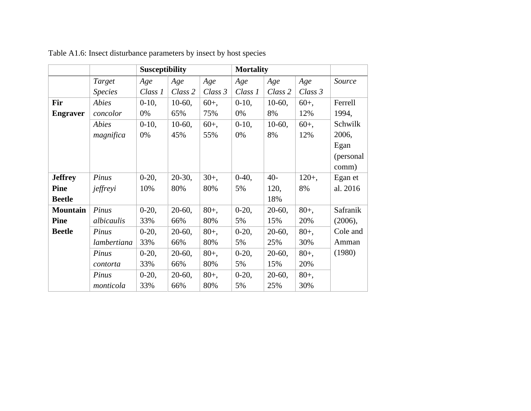|                 |                | <b>Susceptibility</b> |           |         | <b>Mortality</b> |           |         |           |
|-----------------|----------------|-----------------------|-----------|---------|------------------|-----------|---------|-----------|
|                 | Target         | Age                   | Age       | Age     | Age              | Age       | Age     | Source    |
|                 | <b>Species</b> | Class 1               | Class 2   | Class 3 | Class 1          | Class 2   | Class 3 |           |
| Fir             | Abies          | $0-10$ ,              | $10-60$ , | $60+,$  | $0-10$ ,         | $10-60$ , | $60+,$  | Ferrell   |
| <b>Engraver</b> | concolor       | 0%                    | 65%       | 75%     | 0%               | 8%        | 12%     | 1994,     |
|                 | <b>Abies</b>   | $0-10$ ,              | $10-60$ , | $60+,$  | $0-10$ ,         | $10-60$ , | $60+,$  | Schwilk   |
|                 | magnifica      | 0%                    | 45%       | 55%     | 0%               | 8%        | 12%     | 2006,     |
|                 |                |                       |           |         |                  |           |         | Egan      |
|                 |                |                       |           |         |                  |           |         | (personal |
|                 |                |                       |           |         |                  |           |         | comm)     |
| <b>Jeffrey</b>  | Pinus          | $0-20,$               | $20-30$ , | $30+,$  | $0-40,$          | $40-$     | $120+,$ | Egan et   |
| <b>Pine</b>     | jeffreyi       | 10%                   | 80%       | 80%     | 5%               | 120,      | 8%      | al. 2016  |
| <b>Beetle</b>   |                |                       |           |         |                  | 18%       |         |           |
| <b>Mountain</b> | Pinus          | $0-20,$               | $20-60$ , | $80+,$  | $0-20,$          | $20-60$ , | $80+,$  | Safranik  |
| <b>Pine</b>     | albicaulis     | 33%                   | 66%       | 80%     | 5%               | 15%       | 20%     | (2006),   |
| <b>Beetle</b>   | Pinus          | $0-20,$               | $20-60$ , | $80+,$  | $0-20,$          | $20-60$ , | $80+,$  | Cole and  |
|                 | lambertiana    | 33%                   | 66%       | 80%     | 5%               | 25%       | 30%     | Amman     |
|                 | Pinus          | $0-20,$               | $20-60$ , | $80+,$  | $0-20,$          | $20-60$ , | $80+,$  | (1980)    |
|                 | contorta       | 33%                   | 66%       | 80%     | 5%               | 15%       | 20%     |           |
|                 | Pinus          | $0-20,$               | $20-60$ , | $80+,$  | $0-20,$          | $20-60$ , | $80+,$  |           |
|                 | monticola      | 33%                   | 66%       | 80%     | 5%               | 25%       | 30%     |           |

Table A1.6: Insect disturbance parameters by insect by host species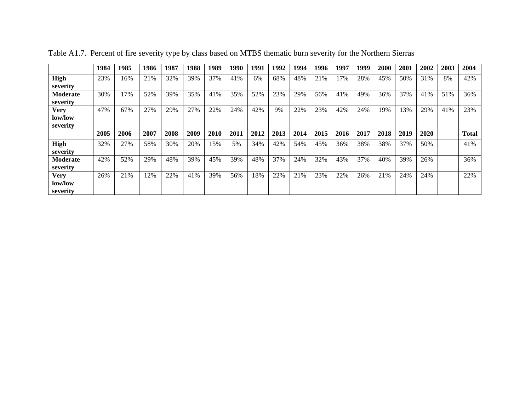|                                    | 1984 | 1985 | 1986 | 1987 | 1988 | 1989 | 1990 | 1991 | 1992 | 1994 | 1996 | 1997 | 1999 | 2000 | 2001 | 2002 | 2003 | 2004         |
|------------------------------------|------|------|------|------|------|------|------|------|------|------|------|------|------|------|------|------|------|--------------|
| High<br>severity                   | 23%  | 16%  | 21%  | 32%  | 39%  | 37%  | 41%  | 6%   | 68%  | 48%  | 21%  | 17%  | 28%  | 45%  | 50%  | 31%  | 8%   | 42%          |
| <b>Moderate</b><br>severity        | 30%  | 17%  | 52%  | 39%  | 35%  | 41%  | 35%  | 52%  | 23%  | 29%  | 56%  | 41%  | 49%  | 36%  | 37%  | 41%  | 51%  | 36%          |
| <b>Very</b><br>low/low<br>severity | 47%  | 67%  | 27%  | 29%  | 27%  | 22%  | 24%  | 42%  | 9%   | 22%  | 23%  | 42%  | 24%  | 19%  | 13%  | 29%  | 41%  | 23%          |
|                                    | 2005 | 2006 | 2007 | 2008 | 2009 | 2010 | 2011 | 2012 | 2013 | 2014 | 2015 | 2016 | 2017 | 2018 | 2019 | 2020 |      | <b>Total</b> |
| <b>High</b><br>severity            | 32%  | 27%  | 58%  | 30%  | 20%  | 15%  | 5%   | 34%  | 42%  | 54%  | 45%  | 36%  | 38%  | 38%  | 37%  | 50%  |      | 41%          |
| Moderate<br>severity               | 42%  | 52%  | 29%  | 48%  | 39%  | 45%  | 39%  | 48%  | 37%  | 24%  | 32%  | 43%  | 37%  | 40%  | 39%  | 26%  |      | 36%          |
| <b>Very</b><br>low/low<br>severity | 26%  | 21%  | 12%  | 22%  | 41%  | 39%  | 56%  | 18%  | 22%  | 21%  | 23%  | 22%  | 26%  | 21%  | 24%  | 24%  |      | 22%          |

Table A1.7. Percent of fire severity type by class based on MTBS thematic burn severity for the Northern Sierras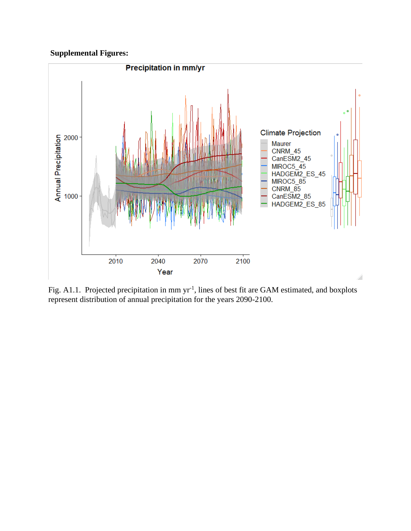## **Supplemental Figures:**



Fig. A1.1. Projected precipitation in mm yr<sup>-1</sup>, lines of best fit are GAM estimated, and boxplots represent distribution of annual precipitation for the years 2090-2100.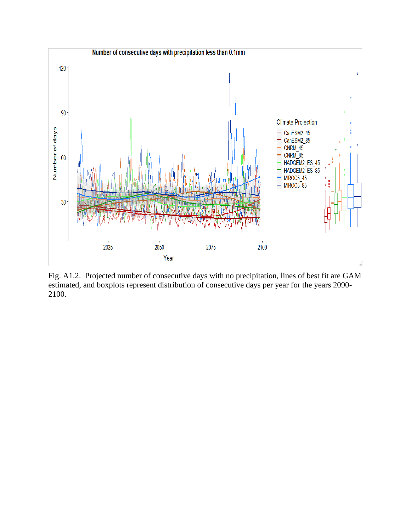

Fig. A1.2. Projected number of consecutive days with no precipitation, lines of best fit are GAM estimated, and boxplots represent distribution of consecutive days per year for the years 2090- 2100.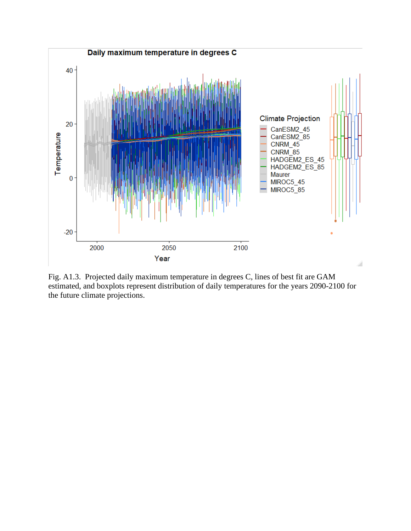

Fig. A1.3. Projected daily maximum temperature in degrees C, lines of best fit are GAM estimated, and boxplots represent distribution of daily temperatures for the years 2090-2100 for the future climate projections.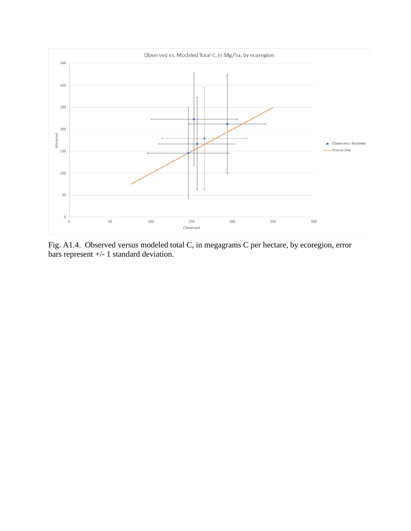

Fig. A1.4. Observed versus modeled total C, in megagrams C per hectare, by ecoregion, error bars represent +/- 1 standard deviation.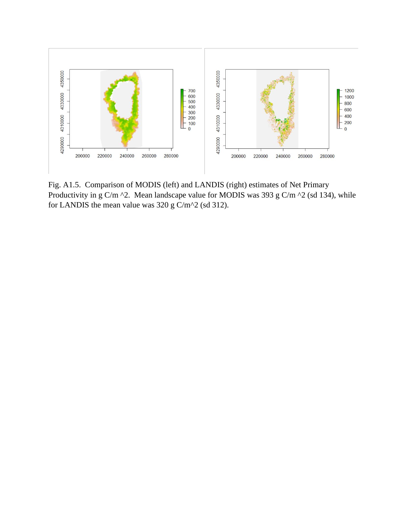

Fig. A1.5. Comparison of MODIS (left) and LANDIS (right) estimates of Net Primary Productivity in g C/m  $\textdegree$ 2. Mean landscape value for MODIS was 393 g C/m  $\textdegree$ 2 (sd 134), while for LANDIS the mean value was 320 g C/m^2 (sd 312).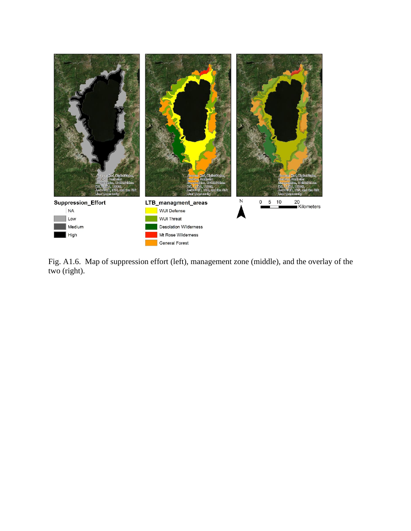

Fig. A1.6. Map of suppression effort (left), management zone (middle), and the overlay of the two (right).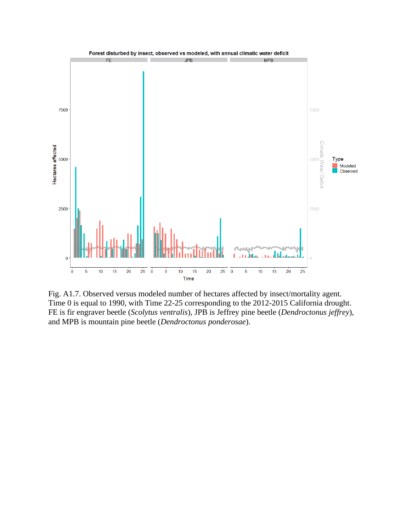

Fig. A1.7. Observed versus modeled number of hectares affected by insect/mortality agent. Time 0 is equal to 1990, with Time 22-25 corresponding to the 2012-2015 California drought. FE is fir engraver beetle (*Scolytus ventralis*), JPB is Jeffrey pine beetle (*Dendroctonus jeffrey*), and MPB is mountain pine beetle (*Dendroctonus ponderosae*).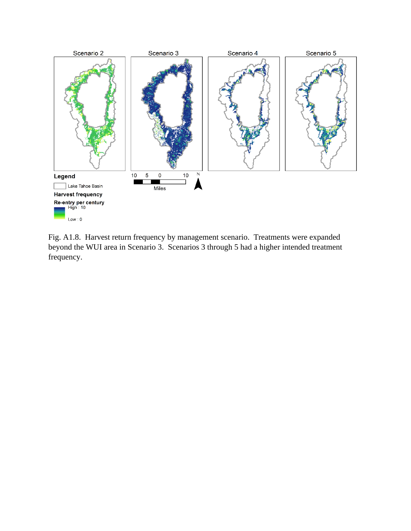

Fig. A1.8. Harvest return frequency by management scenario. Treatments were expanded beyond the WUI area in Scenario 3. Scenarios 3 through 5 had a higher intended treatment frequency.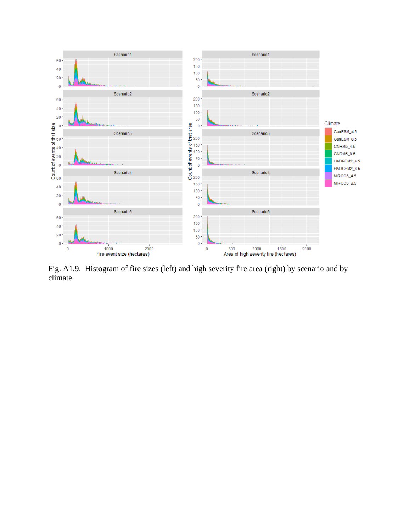

Fig. A1.9. Histogram of fire sizes (left) and high severity fire area (right) by scenario and by climate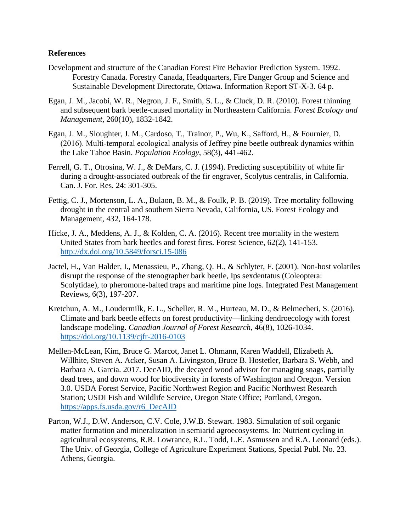#### **References**

- Development and structure of the Canadian Forest Fire Behavior Prediction System. 1992. Forestry Canada. Forestry Canada, Headquarters, Fire Danger Group and Science and Sustainable Development Directorate, Ottawa. Information Report ST-X-3. 64 p.
- Egan, J. M., Jacobi, W. R., Negron, J. F., Smith, S. L., & Cluck, D. R. (2010). Forest thinning and subsequent bark beetle-caused mortality in Northeastern California. *Forest Ecology and Management*, 260(10), 1832-1842.
- Egan, J. M., Sloughter, J. M., Cardoso, T., Trainor, P., Wu, K., Safford, H., & Fournier, D. (2016). Multi-temporal ecological analysis of Jeffrey pine beetle outbreak dynamics within the Lake Tahoe Basin. *Population Ecology*, 58(3), 441-462.
- Ferrell, G. T., Otrosina, W. J., & DeMars, C. J. (1994). Predicting susceptibility of white fir during a drought-associated outbreak of the fir engraver, Scolytus centralis, in California. Can. J. For. Res. 24: 301-305.
- Fettig, C. J., Mortenson, L. A., Bulaon, B. M., & Foulk, P. B. (2019). Tree mortality following drought in the central and southern Sierra Nevada, California, US. Forest Ecology and Management, 432, 164-178.
- Hicke, J. A., Meddens, A. J., & Kolden, C. A. (2016). Recent tree mortality in the western United States from bark beetles and forest fires. Forest Science, 62(2), 141-153. <http://dx.doi.org/10.5849/forsci.15-086>
- Jactel, H., Van Halder, I., Menassieu, P., Zhang, Q. H., & Schlyter, F. (2001). Non-host volatiles disrupt the response of the stenographer bark beetle, Ips sexdentatus (Coleoptera: Scolytidae), to pheromone-baited traps and maritime pine logs. Integrated Pest Management Reviews, 6(3), 197-207.
- Kretchun, A. M., Loudermilk, E. L., Scheller, R. M., Hurteau, M. D., & Belmecheri, S. (2016). Climate and bark beetle effects on forest productivity—linking dendroecology with forest landscape modeling. *Canadian Journal of Forest Research*, 46(8), 1026-1034. <https://doi.org/10.1139/cjfr-2016-0103>
- Mellen-McLean, Kim, Bruce G. Marcot, Janet L. Ohmann, Karen Waddell, Elizabeth A. Willhite, Steven A. Acker, Susan A. Livingston, Bruce B. Hostetler, Barbara S. Webb, and Barbara A. Garcia. 2017. DecAID, the decayed wood advisor for managing snags, partially dead trees, and down wood for biodiversity in forests of Washington and Oregon. Version 3.0. USDA Forest Service, Pacific Northwest Region and Pacific Northwest Research Station; USDI Fish and Wildlife Service, Oregon State Office; Portland, Oregon. [https://apps.fs.usda.gov/r6\\_DecAID](https://apps.fs.usda.gov/r6_DecAID/)
- Parton, W.J., D.W. Anderson, C.V. Cole, J.W.B. Stewart. 1983. Simulation of soil organic matter formation and mineralization in semiarid agroecosystems. In: Nutrient cycling in agricultural ecosystems, R.R. Lowrance, R.L. Todd, L.E. Asmussen and R.A. Leonard (eds.). The Univ. of Georgia, College of Agriculture Experiment Stations, Special Publ. No. 23. Athens, Georgia.